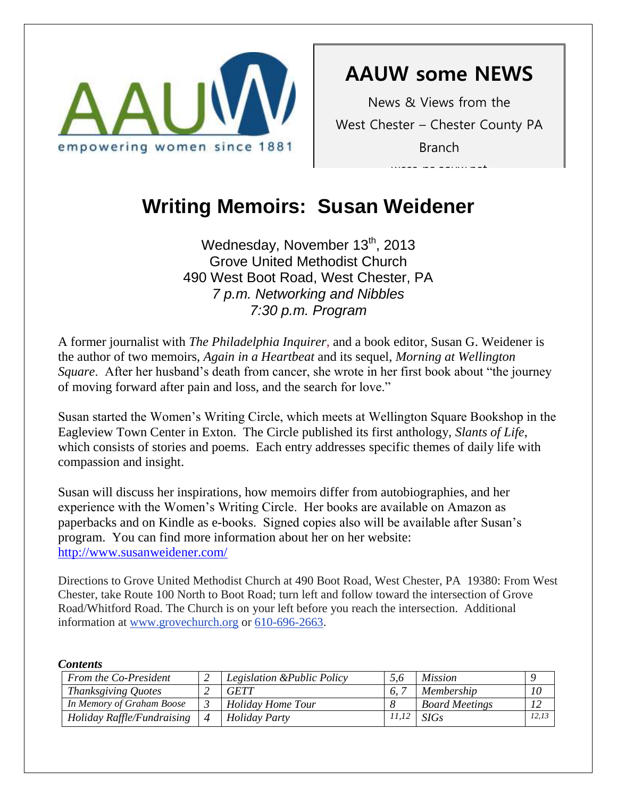

**AAUW some NEWS**

News & Views from the West Chester – Chester County PA Branch

waa us communi

# Writing Memoirs: Susan Weidener

Wednesday, November  $13<sup>th</sup>$ , 2013 Grove United Methodist Church 490 West Boot Road, West Chester, PA *7 p.m. Networking and Nibbles 7:30 p.m. Program*

A former journalist with *The Philadelphia Inquirer*, and a book editor, Susan G. Weidener is the author of two memoirs, *Again in a Heartbeat* and its sequel, *Morning at Wellington Square*. After her husband's death from cancer, she wrote in her first book about "the journey of moving forward after pain and loss, and the search for love."

Susan started the Women's Writing Circle, which meets at Wellington Square Bookshop in the Eagleview Town Center in Exton. The Circle published its first anthology, *Slants of Life*, which consists of stories and poems. Each entry addresses specific themes of daily life with compassion and insight.

Susan will discuss her inspirations, how memoirs differ from autobiographies, and her experience with the Women's Writing Circle. Her books are available on Amazon as paperbacks and on Kindle as e-books. Signed copies also will be available after Susan's program. You can find more information about her on her website: <http://www.susanweidener.com/>

Directions to Grove United Methodist Church at 490 Boot Road, West Chester, PA 19380: From West Chester, take Route 100 North to Boot Road; turn left and follow toward the intersection of Grove Road/Whitford Road. The Church is on your left before you reach the intersection. Additional information at [www.grovechurch.org](http://www.grovechurch.org/) or [610-696-2663.](tel:/610-696-2663)

#### *Contents*

| From the Co-President      |                | Legislation & Public Policy |       | <i>Mission</i>        |       |
|----------------------------|----------------|-----------------------------|-------|-----------------------|-------|
| Thanksgiving Quotes        |                | <b>GETT</b>                 | 6.    | Membership            | 10    |
| In Memory of Graham Boose  |                | <b>Holiday Home Tour</b>    |       | <b>Board Meetings</b> |       |
| Holiday Raffle/Fundraising | $\overline{4}$ | <b>Holiday Party</b>        | 11,12 | <b>SIGs</b>           | 12,13 |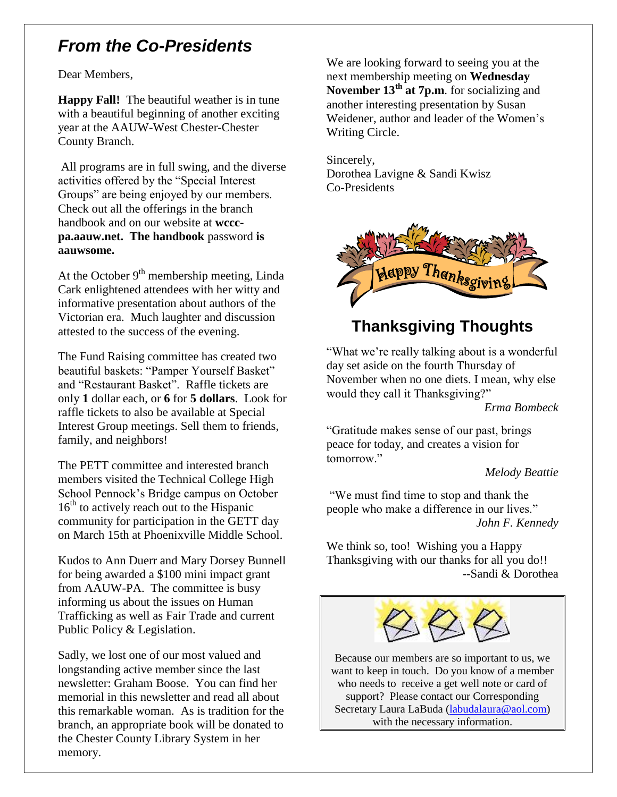### *From the Co-Presidents*

Dear Members,

**Happy Fall!** The beautiful weather is in tune with a beautiful beginning of another exciting year at the AAUW-West Chester-Chester County Branch.

All programs are in full swing, and the diverse activities offered by the "Special Interest Groups" are being enjoyed by our members. Check out all the offerings in the branch handbook and on our website at **wcccpa.aauw.net. The handbook** password **is aauwsome.**

At the October  $9<sup>th</sup>$  membership meeting, Linda Cark enlightened attendees with her witty and informative presentation about authors of the Victorian era. Much laughter and discussion attested to the success of the evening.

The Fund Raising committee has created two beautiful baskets: "Pamper Yourself Basket" and "Restaurant Basket". Raffle tickets are only **1** dollar each, or **6** for **5 dollars**. Look for raffle tickets to also be available at Special Interest Group meetings. Sell them to friends, family, and neighbors!

The PETT committee and interested branch members visited the Technical College High School Pennock's Bridge campus on October  $16<sup>th</sup>$  to actively reach out to the Hispanic community for participation in the GETT day on March 15th at Phoenixville Middle School.

Kudos to Ann Duerr and Mary Dorsey Bunnell for being awarded a \$100 mini impact grant from AAUW-PA. The committee is busy informing us about the issues on Human Trafficking as well as Fair Trade and current Public Policy & Legislation.

Sadly, we lost one of our most valued and longstanding active member since the last newsletter: Graham Boose. You can find her memorial in this newsletter and read all about this remarkable woman. As is tradition for the branch, an appropriate book will be donated to the Chester County Library System in her memory.

We are looking forward to seeing you at the next membership meeting on **Wednesday November 13th at 7p.m**. for socializing and another interesting presentation by Susan Weidener, author and leader of the Women's Writing Circle.

Sincerely, Dorothea Lavigne & Sandi Kwisz Co-Presidents



### **Thanksgiving Thoughts**

"What we're really talking about is a wonderful day set aside on the fourth Thursday of November when no one diets. I mean, why else would they call it Thanksgiving?"

*Erma Bombeck*

"Gratitude makes sense of our past, brings peace for today, and creates a vision for tomorrow."

#### *Melody Beattie*

"We must find time to stop and thank the people who make a difference in our lives." *John F. Kennedy*

We think so, too! Wishing you a Happy Thanksgiving with our thanks for all you do!! --Sandi & Dorothea



Because our members are so important to us, we want to keep in touch. Do you know of a member who needs to receive a get well note or card of support? Please contact our Corresponding Secretary Laura LaBuda [\(labudalaura@aol.com\)](mailto:labudalaura@aol.com) with the necessary information.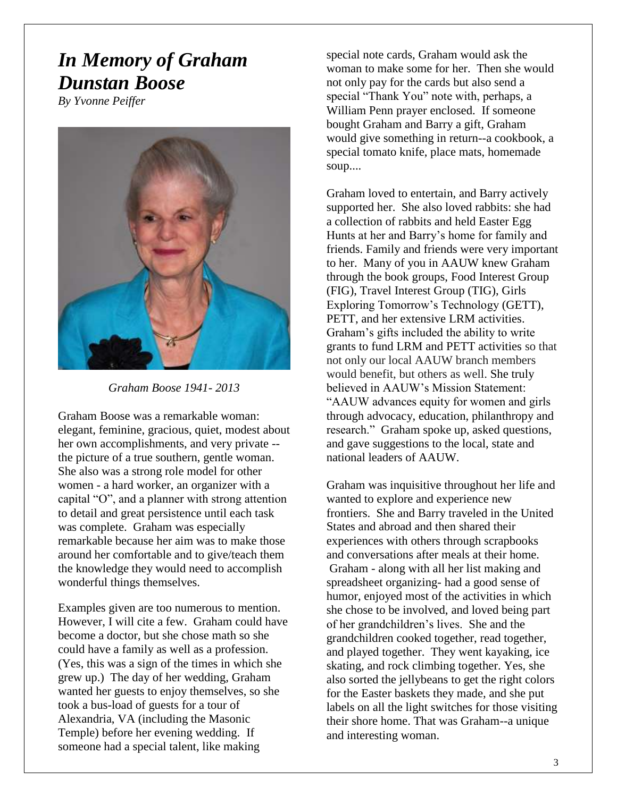## *In Memory of Graham Dunstan Boose*

*By Yvonne Peiffer*



*Graham Boose 1941- 2013*

Graham Boose was a remarkable woman: elegant, feminine, gracious, quiet, modest about her own accomplishments, and very private - the picture of a true southern, gentle woman. She also was a strong role model for other women - a hard worker, an organizer with a capital "O", and a planner with strong attention to detail and great persistence until each task was complete. Graham was especially remarkable because her aim was to make those around her comfortable and to give/teach them the knowledge they would need to accomplish wonderful things themselves.

Examples given are too numerous to mention. However, I will cite a few. Graham could have become a doctor, but she chose math so she could have a family as well as a profession. (Yes, this was a sign of the times in which she grew up.) The day of her wedding, Graham wanted her guests to enjoy themselves, so she took a bus-load of guests for a tour of Alexandria, VA (including the Masonic Temple) before her evening wedding. If someone had a special talent, like making

special note cards, Graham would ask the woman to make some for her. Then she would not only pay for the cards but also send a special "Thank You" note with, perhaps, a William Penn prayer enclosed. If someone bought Graham and Barry a gift, Graham would give something in return--a cookbook, a special tomato knife, place mats, homemade soup....

Graham loved to entertain, and Barry actively supported her. She also loved rabbits: she had a collection of rabbits and held Easter Egg Hunts at her and Barry's home for family and friends. Family and friends were very important to her. Many of you in AAUW knew Graham through the book groups, Food Interest Group (FIG), Travel Interest Group (TIG), Girls Exploring Tomorrow's Technology (GETT), PETT, and her extensive LRM activities. Graham's gifts included the ability to write grants to fund LRM and PETT activities so that not only our local AAUW branch members would benefit, but others as well. She truly believed in AAUW's Mission Statement: "AAUW advances equity for women and girls through advocacy, education, philanthropy and research." Graham spoke up, asked questions, and gave suggestions to the local, state and national leaders of AAUW.

Graham was inquisitive throughout her life and wanted to explore and experience new frontiers. She and Barry traveled in the United States and abroad and then shared their experiences with others through scrapbooks and conversations after meals at their home. Graham - along with all her list making and spreadsheet organizing- had a good sense of humor, enjoyed most of the activities in which she chose to be involved, and loved being part of her grandchildren's lives. She and the grandchildren cooked together, read together, and played together. They went kayaking, ice skating, and rock climbing together. Yes, she also sorted the jellybeans to get the right colors for the Easter baskets they made, and she put labels on all the light switches for those visiting their shore home. That was Graham--a unique and interesting woman.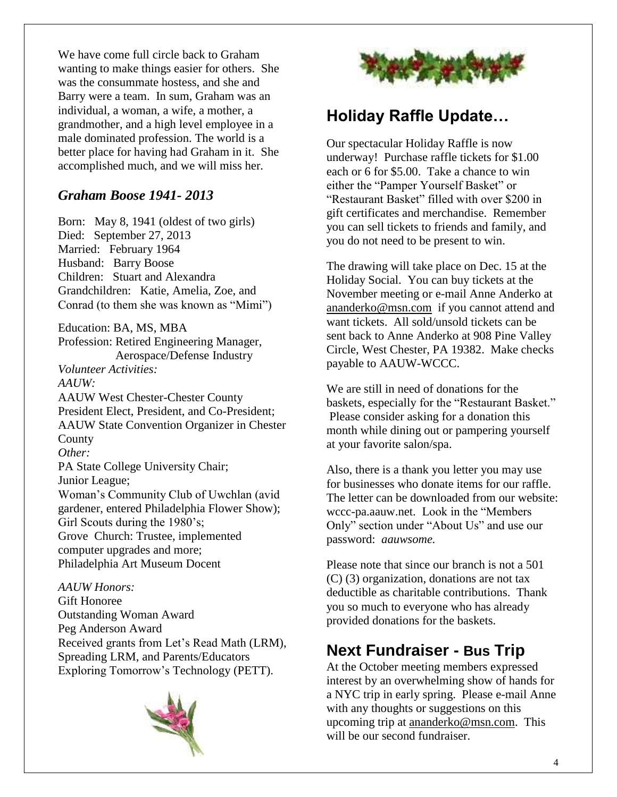We have come full circle back to Graham wanting to make things easier for others. She was the consummate hostess, and she and Barry were a team. In sum, Graham was an individual, a woman, a wife, a mother, a grandmother, and a high level employee in a male dominated profession. The world is a better place for having had Graham in it. She accomplished much, and we will miss her.

#### *Graham Boose 1941- 2013*

Born: May 8, 1941 (oldest of two girls) Died: September 27, 2013 Married: February 1964 Husband: Barry Boose Children: Stuart and Alexandra Grandchildren: Katie, Amelia, Zoe, and Conrad (to them she was known as "Mimi")

Education: BA, MS, MBA Profession: Retired Engineering Manager, Aerospace/Defense Industry *Volunteer Activities: AAUW:*  AAUW West Chester-Chester County President Elect, President, and Co-President; AAUW State Convention Organizer in Chester County *Other:* PA State College University Chair; Junior League; Woman's Community Club of Uwchlan (avid gardener, entered Philadelphia Flower Show); Girl Scouts during the 1980's; Grove Church: Trustee, implemented computer upgrades and more; Philadelphia Art Museum Docent

*AAUW Honors:*  Gift Honoree Outstanding Woman Award Peg Anderson Award Received grants from Let's Read Math (LRM), Spreading LRM, and Parents/Educators Exploring Tomorrow's Technology (PETT).





### **Holiday Raffle Update…**

Our spectacular Holiday Raffle is now underway! Purchase raffle tickets for \$1.00 each or 6 for \$5.00. Take a chance to win either the "Pamper Yourself Basket" or "Restaurant Basket" filled with over \$200 in gift certificates and merchandise. Remember you can sell tickets to friends and family, and you do not need to be present to win.

The drawing will take place on Dec. 15 at the Holiday Social. You can buy tickets at the November meeting or e-mail Anne Anderko at [ananderko@msn.com](mailto:ananderko@msn.com) if you cannot attend and want tickets. All sold/unsold tickets can be sent back to Anne Anderko at 908 Pine Valley Circle, West Chester, PA 19382. Make checks payable to AAUW-WCCC.

We are still in need of donations for the baskets, especially for the "Restaurant Basket." Please consider asking for a donation this month while dining out or pampering yourself at your favorite salon/spa.

Also, there is a thank you letter you may use for businesses who donate items for our raffle. The letter can be downloaded from our website: wccc-pa.aauw.net. Look in the "Members Only" section under "About Us" and use our password: *aauwsome.*

Please note that since our branch is not a 501 (C) (3) organization, donations are not tax deductible as charitable contributions. Thank you so much to everyone who has already provided donations for the baskets.

### **Next Fundraiser - Bus Trip**

At the October meeting members expressed interest by an overwhelming show of hands for a NYC trip in early spring. Please e-mail Anne with any thoughts or suggestions on this upcoming trip at [ananderko@msn.com.](mailto:ananderko@msn.com) This will be our second fundraiser.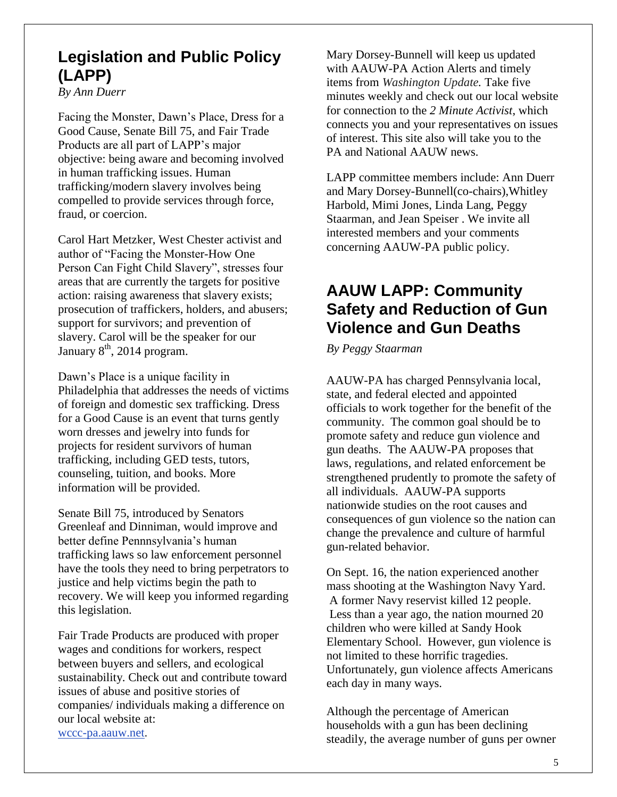### **Legislation and Public Policy (LAPP)**

*By Ann Duerr*

Facing the Monster, Dawn's Place, Dress for a Good Cause, Senate Bill 75, and Fair Trade Products are all part of LAPP's major objective: being aware and becoming involved in human trafficking issues. Human trafficking/modern slavery involves being compelled to provide services through force, fraud, or coercion.

Carol Hart Metzker, West Chester activist and author of "Facing the Monster-How One Person Can Fight Child Slavery", stresses four areas that are currently the targets for positive action: raising awareness that slavery exists; prosecution of traffickers, holders, and abusers; support for survivors; and prevention of slavery. Carol will be the speaker for our January  $8<sup>th</sup>$ , 2014 program.

Dawn's Place is a unique facility in Philadelphia that addresses the needs of victims of foreign and domestic sex trafficking. Dress for a Good Cause is an event that turns gently worn dresses and jewelry into funds for projects for resident survivors of human trafficking, including GED tests, tutors, counseling, tuition, and books. More information will be provided.

Senate Bill 75, introduced by Senators Greenleaf and Dinniman, would improve and better define Pennnsylvania's human trafficking laws so law enforcement personnel have the tools they need to bring perpetrators to justice and help victims begin the path to recovery. We will keep you informed regarding this legislation.

Fair Trade Products are produced with proper wages and conditions for workers, respect between buyers and sellers, and ecological sustainability. Check out and contribute toward issues of abuse and positive stories of companies/ individuals making a difference on our local website at: [wccc-pa.aauw.net.](http://wccc-pa.aauw.net/)

Mary Dorsey-Bunnell will keep us updated with AAUW-PA Action Alerts and timely items from *Washington Update.* Take five minutes weekly and check out our local website for connection to the *2 Minute Activist*, which connects you and your representatives on issues of interest. This site also will take you to the PA and National AAUW news.

LAPP committee members include: Ann Duerr and Mary Dorsey-Bunnell(co-chairs),Whitley Harbold, Mimi Jones, Linda Lang, Peggy Staarman, and Jean Speiser . We invite all interested members and your comments concerning AAUW-PA public policy.

### **AAUW LAPP: Community Safety and Reduction of Gun Violence and Gun Deaths**

*By Peggy Staarman*

AAUW-PA has charged Pennsylvania local, state, and federal elected and appointed officials to work together for the benefit of the community. The common goal should be to promote safety and reduce gun violence and gun deaths. The AAUW-PA proposes that laws, regulations, and related enforcement be strengthened prudently to promote the safety of all individuals. AAUW-PA supports nationwide studies on the root causes and consequences of gun violence so the nation can change the prevalence and culture of harmful gun-related behavior.

On Sept. 16, the nation experienced another mass shooting at the Washington Navy Yard. A former Navy reservist killed 12 people. Less than a year ago, the nation mourned 20 children who were killed at Sandy Hook Elementary School. However, gun violence is not limited to these horrific tragedies. Unfortunately, gun violence affects Americans each day in many ways.

Although the percentage of American households with a gun has been declining steadily, the average number of guns per owner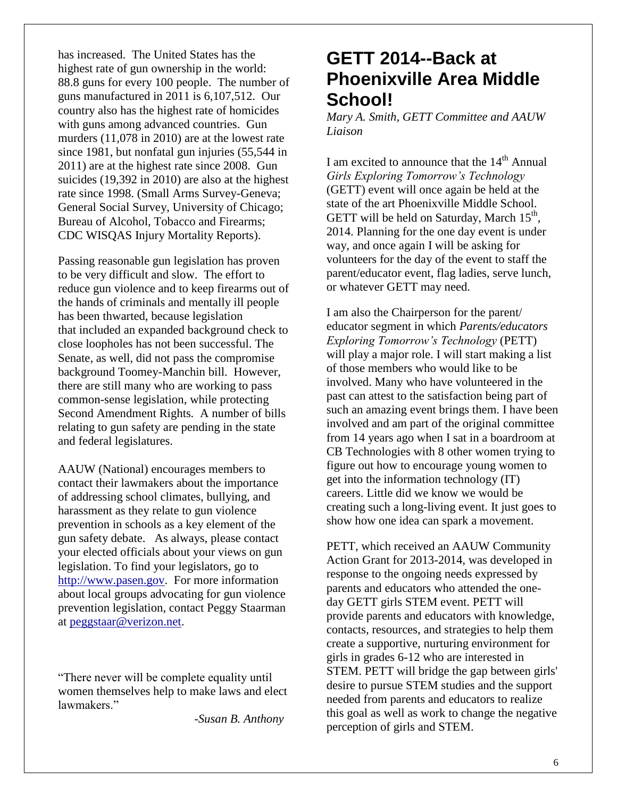has increased. The United States has the highest rate of gun ownership in the world: 88.8 guns for every 100 people. The number of guns manufactured in 2011 is 6,107,512. Our country also has the highest rate of homicides with guns among advanced countries. Gun murders (11,078 in 2010) are at the lowest rate since 1981, but nonfatal gun injuries (55,544 in 2011) are at the highest rate since 2008. Gun suicides (19,392 in 2010) are also at the highest rate since 1998. (Small Arms Survey-Geneva; General Social Survey, University of Chicago; Bureau of Alcohol, Tobacco and Firearms; CDC WISQAS Injury Mortality Reports).

Passing reasonable gun legislation has proven to be very difficult and slow. The effort to reduce gun violence and to keep firearms out of the hands of criminals and mentally ill people has been thwarted, because legislation that included an expanded background check to close loopholes has not been successful. The Senate, as well, did not pass the compromise background Toomey-Manchin bill. However, there are still many who are working to pass common-sense legislation, while protecting Second Amendment Rights*.* A number of bills relating to gun safety are pending in the state and federal legislatures.

AAUW (National) encourages members to contact their lawmakers about the importance of addressing school climates, bullying, and harassment as they relate to gun violence prevention in schools as a key element of the gun safety debate. As always, please contact your elected officials about your views on gun legislation. To find your legislators, go to [http://www.pasen.gov.](http://www.pasen.gov/) For more information about local groups advocating for gun violence prevention legislation, contact Peggy Staarman at [peggstaar@verizon.net.](mailto:peggstaar@verizon.net)

"There never will be complete equality until women themselves help to make laws and elect lawmakers<sup>"</sup>

 *-Susan B. Anthony*

### **GETT 2014--Back at Phoenixville Area Middle School!**

*Mary A. Smith, GETT Committee and AAUW Liaison*

I am excited to announce that the 14<sup>th</sup> Annual *Girls Exploring Tomorrow's Technology* (GETT) event will once again be held at the state of the art Phoenixville Middle School. GETT will be held on Saturday, March  $15<sup>th</sup>$ , 2014. Planning for the one day event is under way, and once again I will be asking for volunteers for the day of the event to staff the parent/educator event, flag ladies, serve lunch, or whatever GETT may need.

I am also the Chairperson for the parent/ educator segment in which *Parents/educators Exploring Tomorrow's Technology* (PETT) will play a major role. I will start making a list of those members who would like to be involved. Many who have volunteered in the past can attest to the satisfaction being part of such an amazing event brings them. I have been involved and am part of the original committee from 14 years ago when I sat in a boardroom at CB Technologies with 8 other women trying to figure out how to encourage young women to get into the information technology (IT) careers. Little did we know we would be creating such a long-living event. It just goes to show how one idea can spark a movement.

PETT, which received an AAUW Community Action Grant for 2013-2014, was developed in response to the ongoing needs expressed by parents and educators who attended the oneday GETT girls STEM event. PETT will provide parents and educators with knowledge, contacts, resources, and strategies to help them create a supportive, nurturing environment for girls in grades 6-12 who are interested in STEM. PETT will bridge the gap between girls' desire to pursue STEM studies and the support needed from parents and educators to realize this goal as well as work to change the negative perception of girls and STEM.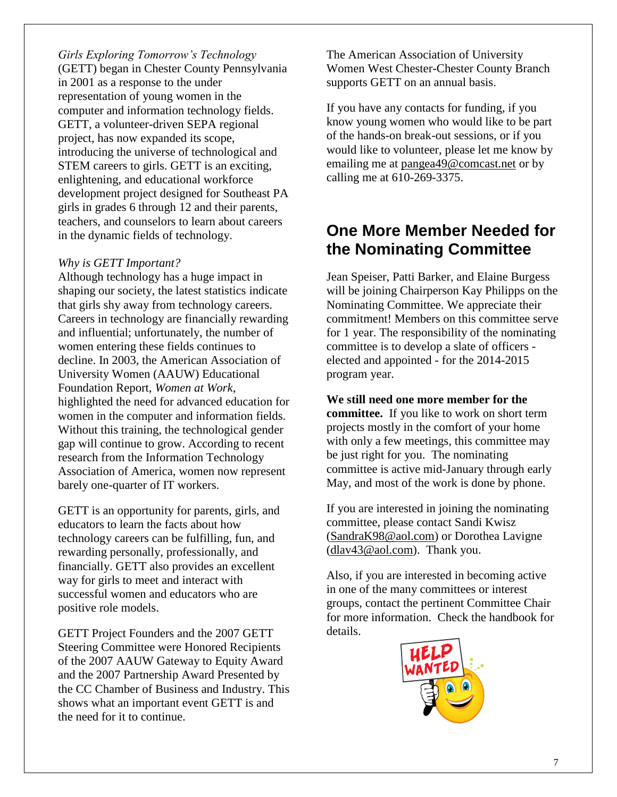*Girls Exploring Tomorrow's Technology* (GETT) began in Chester County Pennsylvania in 2001 as a response to the under representation of young women in the computer and information technology fields. GETT, a volunteer-driven SEPA regional project, has now expanded its scope, introducing the universe of technological and STEM careers to girls. GETT is an exciting, enlightening, and educational workforce development project designed for Southeast PA girls in grades 6 through 12 and their parents, teachers, and counselors to learn about careers in the dynamic fields of technology.

#### *Why is GETT Important?*

Although technology has a huge impact in shaping our society, the latest statistics indicate that girls shy away from technology careers. Careers in technology are financially rewarding and influential; unfortunately, the number of women entering these fields continues to decline. In 2003, the American Association of University Women (AAUW) Educational Foundation Report, *Women at Work*, highlighted the need for advanced education for women in the computer and information fields. Without this training, the technological gender gap will continue to grow. According to recent research from the Information Technology Association of America, women now represent barely one-quarter of IT workers.

GETT is an opportunity for parents, girls, and educators to learn the facts about how technology careers can be fulfilling, fun, and rewarding personally, professionally, and financially. GETT also provides an excellent way for girls to meet and interact with successful women and educators who are positive role models.

GETT Project Founders and the 2007 GETT Steering Committee were Honored Recipients of the 2007 AAUW Gateway to Equity Award and the 2007 Partnership Award Presented by the CC Chamber of Business and Industry. This shows what an important event GETT is and the need for it to continue.

The American Association of University Women West Chester-Chester County Branch supports GETT on an annual basis.

If you have any contacts for funding, if you know young women who would like to be part of the hands-on break-out sessions, or if you would like to volunteer, please let me know by emailing me at [pangea49@comcast.net](mailto:pangea49@comcast.net) or by calling me at 610-269-3375.

### **One More Member Needed for the Nominating Committee**

Jean Speiser, Patti Barker, and Elaine Burgess will be joining Chairperson Kay Philipps on the Nominating Committee. We appreciate their commitment! Members on this committee serve for 1 year. The responsibility of the nominating committee is to develop a slate of officers elected and appointed - for the 2014-2015 program year.

**We still need one more member for the committee.** If you like to work on short term projects mostly in the comfort of your home with only a few meetings, this committee may be just right for you. The nominating committee is active mid-January through early May, and most of the work is done by phone.

If you are interested in joining the nominating committee, please contact Sandi Kwisz [\(SandraK98@aol.com\)](mailto:SandraK98@aol.com) or Dorothea Lavigne [\(dlav43@aol.com\)](mailto:dlav43@aol.com). Thank you.

Also, if you are interested in becoming active in one of the many committees or interest groups, contact the pertinent Committee Chair for more information. Check the handbook for details.

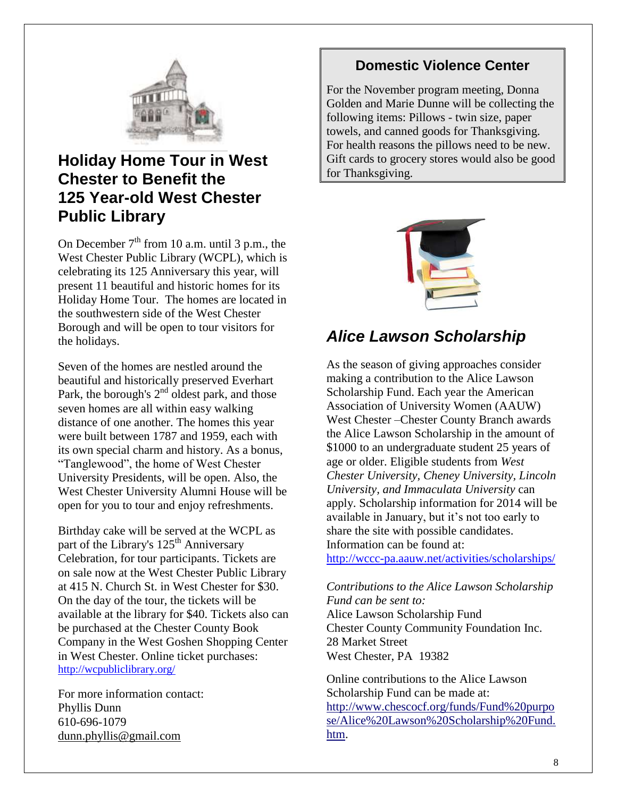

### **Holiday Home Tour in West Chester to Benefit the 125 Year-old West Chester Public Library**

On December  $7<sup>th</sup>$  from 10 a.m. until 3 p.m., the West Chester Public Library (WCPL), which is celebrating its 125 Anniversary this year, will present 11 beautiful and historic homes for its Holiday Home Tour. The homes are located in the southwestern side of the West Chester Borough and will be open to tour visitors for the holidays.

Seven of the homes are nestled around the beautiful and historically preserved Everhart Park, the borough's  $2<sup>nd</sup>$  oldest park, and those seven homes are all within easy walking distance of one another. The homes this year were built between 1787 and 1959, each with its own special charm and history. As a bonus, "Tanglewood", the home of West Chester University Presidents, will be open. Also, the West Chester University Alumni House will be open for you to tour and enjoy refreshments.

Birthday cake will be served at the WCPL as part of the Library's 125<sup>th</sup> Anniversary Celebration, for tour participants. Tickets are on sale now at the West Chester Public Library at 415 N. Church St. in West Chester for \$30. On the day of the tour, the tickets will be available at the library for \$40. Tickets also can be purchased at the Chester County Book Company in the West Goshen Shopping Center in West Chester. Online ticket purchases: <http://wcpubliclibrary.org/>

For more information contact: Phyllis Dunn 610-696-1079 [dunn.phyllis@gmail.com](mailto:dunn.phyllis@gmail.com)

#### **Domestic Violence Center**

For the November program meeting, Donna Golden and Marie Dunne will be collecting the following items: Pillows - twin size, paper towels, and canned goods for Thanksgiving. For health reasons the pillows need to be new. Gift cards to grocery stores would also be good for Thanksgiving.



### *Alice Lawson Scholarship*

As the season of giving approaches consider making a contribution to the Alice Lawson Scholarship Fund. Each year the American Association of University Women (AAUW) West Chester –Chester County Branch awards the Alice Lawson Scholarship in the amount of \$1000 to an undergraduate student 25 years of age or older. Eligible students from *West Chester University, Cheney University, Lincoln University, and Immaculata University* can apply. Scholarship information for 2014 will be available in January, but it's not too early to share the site with possible candidates. Information can be found at:

<http://wccc-pa.aauw.net/activities/scholarships/>

*Contributions to the Alice Lawson Scholarship Fund can be sent to:* Alice Lawson Scholarship Fund Chester County Community Foundation Inc. 28 Market Street West Chester, PA 19382

Online contributions to the Alice Lawson Scholarship Fund can be made at: [http://www.chescocf.org/funds/Fund%20purpo](http://www.chescocf.org/funds/Fund%20purpose/Alice%20Lawson%20Scholarship%20Fund.htm) [se/Alice%20Lawson%20Scholarship%20Fund.](http://www.chescocf.org/funds/Fund%20purpose/Alice%20Lawson%20Scholarship%20Fund.htm) [htm.](http://www.chescocf.org/funds/Fund%20purpose/Alice%20Lawson%20Scholarship%20Fund.htm)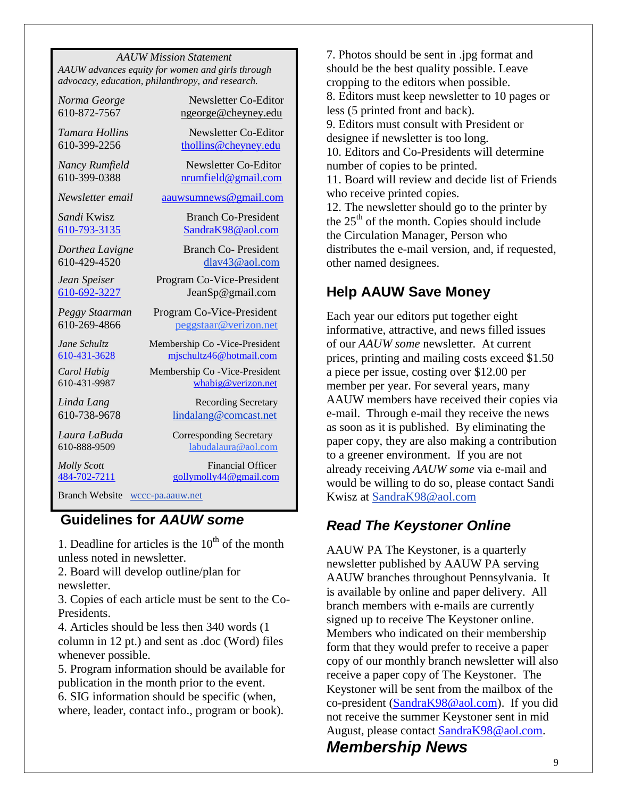*AAUW Mission Statement AAUW advances equity for women and girls through advocacy, education, philanthropy, and research.*

*Norma George* Newsletter Co-Editor 610-872-7567 [ngeorge@cheyney.edu](mailto:ngeorge@cheyney.ecu)

*Tamara Hollins* Newsletter Co-Editor 610-399-2256 [thollins@cheyney.edu](mailto:thollins@cheyney.edu)

*Nancy Rumfield* Newsletter Co-Editor 610-399-0388 [nrumfield@gmail.com](mailto:nrumfield@gmail.com)

*Newsletter email* [aauwsumnews@gmail.com](mailto:aauwsumnews@gmail.com)

**Sandi** Kwisz **Branch Co-President** [610-793-3135](tel:/610-793-3135) [SandraK98@aol.com](mailto:SandraK98@aol.com)

*Dorthea Lavigne* Branch Co- President 610-429-4520 [dlav43@aol.com](mailto:franpierce@verizon.net)

*Jean Speiser* Program Co-Vice-President [610-692-3227](tel:/610-692-3227) JeanSp@gmail.com

*Peggy Staarman* Program Co-Vice-President 610-269-4866 [peggstaar@verizon.net](mailto:4dores@comcast.net)

*Jane Schultz* Membership Co -Vice-President [610-431-3628](tel:/610-431-3628) [mjschultz46@hotmail.com](mailto:mjschultz46@hotmail.com)

*Carol Habig* Membership Co - Vice-President 610-431-9987 [whabig@verizon.net](mailto:mjschultz46@hotmail.com)

*Linda Lang* **Recording Secretary** 610-738-9678 lindalang@comcast.net

*Laura LaBuda* **Corresponding Secretary** 610-888-9509 labudalaura@aol.com

*Molly Scott* Financial Officer [484-702-7211](tel:/484-702-7211) [gollymolly44@gmail.com](mailto:gollymolly44@gmail.com)

Branch Website [wccc-pa.aauw.net](http://wccc-pa.aauw.net/)

#### **Guidelines for** *AAUW some*

1. Deadline for articles is the  $10<sup>th</sup>$  of the month unless noted in newsletter.

2. Board will develop outline/plan for newsletter.

3. Copies of each article must be sent to the Co-Presidents.

4. Articles should be less then 340 words (1 column in 12 pt.) and sent as .doc (Word) files whenever possible.

5. Program information should be available for publication in the month prior to the event. 6. SIG information should be specific (when, where, leader, contact info., program or book).

7. Photos should be sent in .jpg format and should be the best quality possible. Leave cropping to the editors when possible. 8. Editors must keep newsletter to 10 pages or less (5 printed front and back). 9. Editors must consult with President or designee if newsletter is too long. 10. Editors and Co-Presidents will determine number of copies to be printed. 11. Board will review and decide list of Friends who receive printed copies. 12. The newsletter should go to the printer by

the  $25<sup>th</sup>$  of the month. Copies should include the Circulation Manager, Person who distributes the e-mail version, and, if requested, other named designees.

#### **Help AAUW Save Money**

Each year our editors put together eight informative, attractive, and news filled issues of our *AAUW some* newsletter. At current prices, printing and mailing costs exceed \$1.50 a piece per issue, costing over \$12.00 per member per year. For several years, many AAUW members have received their copies via e-mail. Through e-mail they receive the news as soon as it is published. By eliminating the paper copy, they are also making a contribution to a greener environment. If you are not already receiving *AAUW some* via e-mail and would be willing to do so, please contact Sandi Kwisz at [SandraK98@aol.com](mailto:SandraK98@aol.com)

#### *Read The Keystoner Online*

AAUW PA The Keystoner, is a quarterly newsletter published by AAUW PA serving AAUW branches throughout Pennsylvania. It is available by online and paper delivery. All branch members with e-mails are currently signed up to receive The Keystoner online. Members who indicated on their membership form that they would prefer to receive a paper copy of our monthly branch newsletter will also receive a paper copy of The Keystoner. The Keystoner will be sent from the mailbox of the co-president [\(SandraK98@aol.com\)](mailto:SandraK98@aol.com). If you did not receive the summer Keystoner sent in mid August, please contact [SandraK98@aol.com.](mailto:SandraK98@aol.com)

#### *Membership News*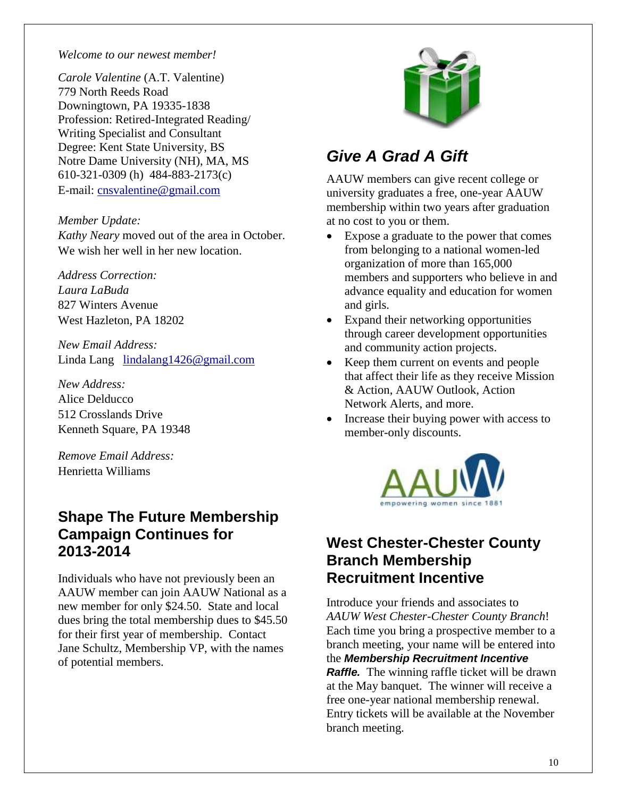#### *Welcome to our newest member!*

*Carole Valentine* (A.T. Valentine) 779 North Reeds Road Downingtown, PA 19335-1838 Profession: Retired-Integrated Reading/ Writing Specialist and Consultant Degree: Kent State University, BS Notre Dame University (NH), MA, MS 610-321-0309 (h) 484-883-2173(c) E-mail: [cnsvalentine@gmail.com](mailto:cnsvalentine@gmail.com)

*Member Update:*

*Kathy Neary* moved out of the area in October. We wish her well in her new location.

*Address Correction: Laura LaBuda* 827 Winters Avenue West Hazleton, PA 18202

*New Email Address:* Linda Lang [lindalang1426@gmail.com](mailto:lindalang1426@gmail.com)

*New Address:* Alice Delducco 512 Crosslands Drive Kenneth Square, PA 19348

*Remove Email Address:* Henrietta Williams

#### **Shape The Future Membership Campaign Continues for 2013-2014**

Individuals who have not previously been an AAUW member can join AAUW National as a new member for only \$24.50. State and local dues bring the total membership dues to \$45.50 for their first year of membership. Contact Jane Schultz, Membership VP, with the names of potential members.



### *Give A Grad A Gift*

AAUW members can give recent college or university graduates a free, one-year AAUW membership within two years after graduation at no cost to you or them.

- Expose a graduate to the power that comes from belonging to a national women-led organization of more than 165,000 members and supporters who believe in and advance equality and education for women and girls.
- Expand their networking opportunities through career development opportunities and community action projects.
- Keep them current on events and people that affect their life as they receive Mission & Action, AAUW Outlook, Action Network Alerts, and more.
- Increase their buying power with access to member-only discounts.



#### **West Chester-Chester County Branch Membership Recruitment Incentive**

Introduce your friends and associates to *AAUW West Chester-Chester County Branch*! Each time you bring a prospective member to a branch meeting, your name will be entered into the *Membership Recruitment Incentive Raffle.* The winning raffle ticket will be drawn at the May banquet. The winner will receive a free one-year national membership renewal. Entry tickets will be available at the November branch meeting.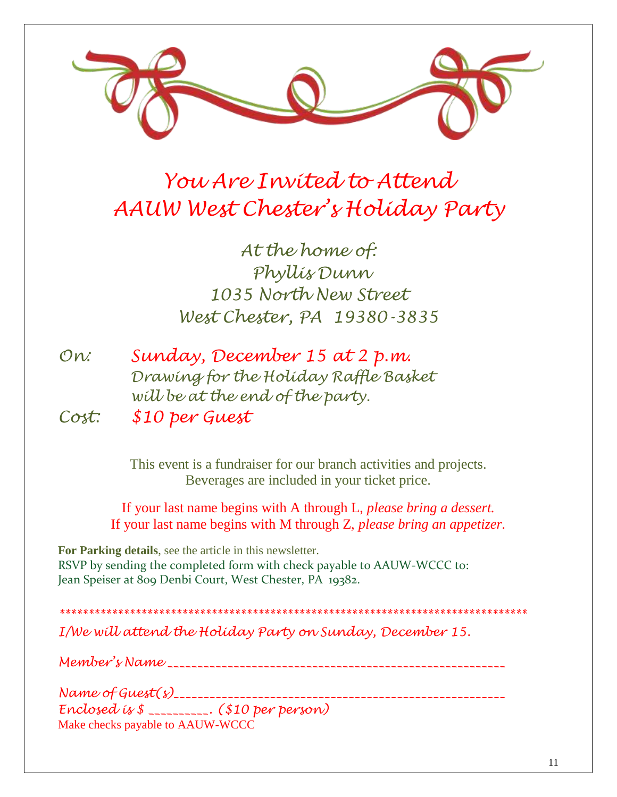

# *You Are Invited to Attend AAUW West Chester's Holiday Party*

*At the home of: Phyllis Dunn 1035 North New Street West Chester, PA 19380-3835*

| On:   | Sunday, December 15 at 2 p.m.         |
|-------|---------------------------------------|
|       | Drawing for the Holiday Raffle Basket |
|       | will be at the end of the party.      |
| Cost: | \$10 per Guest                        |

This event is a fundraiser for our branch activities and projects. Beverages are included in your ticket price.

If your last name begins with A through L, *please bring a dessert.* If your last name begins with M through Z, *please bring an appetizer.*

**For Parking details**, see the article in this newsletter. RSVP by sending the completed form with check payable to AAUW-WCCC to: Jean Speiser at 809 Denbi Court, West Chester, PA 19382.

*\*\*\*\*\*\*\*\*\*\*\*\*\*\*\*\*\*\*\*\*\*\*\*\*\*\*\*\*\*\*\*\*\*\*\*\*\*\*\*\*\*\*\*\*\*\*\*\*\*\*\*\*\*\*\*\*\*\*\*\*\*\*\*\*\*\*\*\*\*\*\*\*\*\*\*\*\*\*\*\* I/We will attend the Holiday Party on Sunday, December 15.*

*Member's Name \_\_\_\_\_\_\_\_\_\_\_\_\_\_\_\_\_\_\_\_\_\_\_\_\_\_\_\_\_\_\_\_\_\_\_\_\_\_\_\_\_\_\_\_\_\_\_\_\_\_\_\_\_\_\_\_*

*Name of Guest(s)\_\_\_\_\_\_\_\_\_\_\_\_\_\_\_\_\_\_\_\_\_\_\_\_\_\_\_\_\_\_\_\_\_\_\_\_\_\_\_\_\_\_\_\_\_\_\_\_\_\_\_\_\_\_\_ Enclosed is \$ \_\_\_\_\_\_\_\_\_\_. (\$10 per person)* Make checks payable to AAUW-WCCC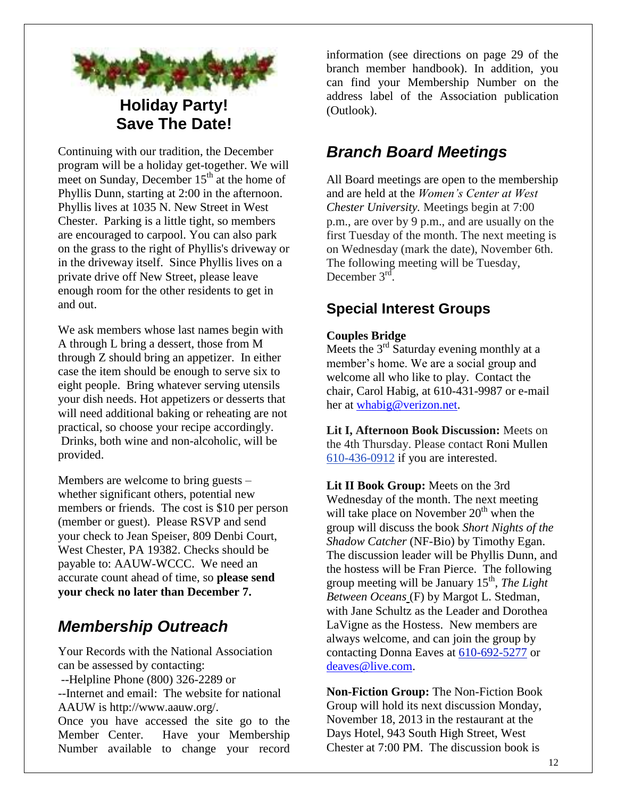

**Holiday Party! Save The Date!**

Continuing with our tradition, the December program will be a holiday get-together. We will meet on Sunday, December  $15<sup>th</sup>$  at the home of Phyllis Dunn, starting at 2:00 in the afternoon. Phyllis lives at 1035 N. New Street in West Chester. Parking is a little tight, so members are encouraged to carpool. You can also park on the grass to the right of Phyllis's driveway or in the driveway itself. Since Phyllis lives on a private drive off New Street, please leave enough room for the other residents to get in and out.

We ask members whose last names begin with A through L bring a dessert, those from M through Z should bring an appetizer. In either case the item should be enough to serve six to eight people. Bring whatever serving utensils your dish needs. Hot appetizers or desserts that will need additional baking or reheating are not practical, so choose your recipe accordingly. Drinks, both wine and non-alcoholic, will be provided.

Members are welcome to bring guests – whether significant others, potential new members or friends. The cost is \$10 per person (member or guest). Please RSVP and send your check to Jean Speiser, 809 Denbi Court, West Chester, PA 19382. Checks should be payable to: AAUW-WCCC. We need an accurate count ahead of time, so **please send your check no later than December 7.**

### *Membership Outreach*

Your Records with the National Association can be assessed by contacting:

--Helpline Phone (800) 326-2289 or

--Internet and email: The website for national AAUW is http://www.aauw.org/.

Once you have accessed the site go to the Member Center. Have your Membership Number available to change your record information (see directions on page 29 of the branch member handbook). In addition, you can find your Membership Number on the address label of the Association publication (Outlook).

### *Branch Board Meetings*

All Board meetings are open to the membership and are held at the *Women's Center at West Chester University.* Meetings begin at 7:00 p.m., are over by 9 p.m., and are usually on the first Tuesday of the month. The next meeting is on Wednesday (mark the date), November 6th. The following meeting will be Tuesday, December  $3<sup>rd</sup>$ .

#### **Special Interest Groups**

#### **Couples Bridge**

Meets the  $3<sup>rd</sup>$  Saturday evening monthly at a member's home. We are a social group and welcome all who like to play. Contact the chair, Carol Habig, at 610-431-9987 or e-mail her at [whabig@verizon.net.](mailto:whabig@verizon.net)

**Lit I, Afternoon Book Discussion:** Meets on the 4th Thursday. Please contact Roni Mullen [610-436-0912](tel:/610-436-0912) if you are interested.

**Lit II Book Group:** Meets on the 3rd Wednesday of the month. The next meeting will take place on November  $20<sup>th</sup>$  when the group will discuss the book *Short Nights of the Shadow Catcher* (NF-Bio) by Timothy Egan. The discussion leader will be Phyllis Dunn, and the hostess will be Fran Pierce. The following group meeting will be January 15<sup>th</sup>, *The Light Between Oceans* (F) by Margot L. Stedman, with Jane Schultz as the Leader and Dorothea LaVigne as the Hostess. New members are always welcome, and can join the group by contacting Donna Eaves at [610-692-5277](tel:/610-692-5277) or [deaves@live.com.](mailto:deaves@live.com)

**Non-Fiction Group:** The Non-Fiction Book Group will hold its next discussion Monday, November 18, 2013 in the restaurant at the Days Hotel, 943 South High Street, West Chester at 7:00 PM. The discussion book is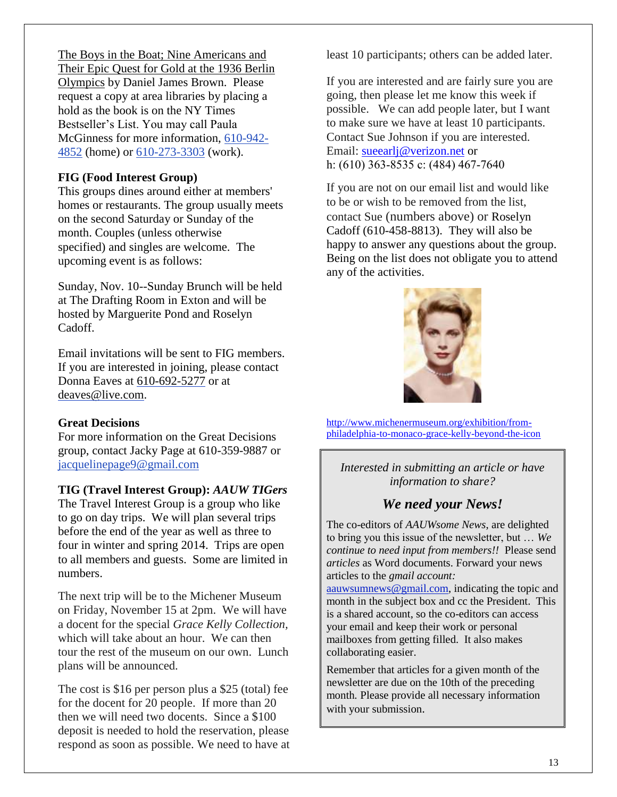The Boys in the Boat; Nine Americans and Their Epic Quest for Gold at the 1936 Berlin Olympics by Daniel James Brown. Please request a copy at area libraries by placing a hold as the book is on the NY Times Bestseller's List. You may call Paula McGinness for more information, [610-942-](tel:/610-942-4852) [4852](tel:/610-942-4852) (home) or [610-273-3303](tel:/610-273-3303) (work).

#### **FIG (Food Interest Group)**

This groups dines around either at members' homes or restaurants. The group usually meets on the second Saturday or Sunday of the month. Couples (unless otherwise specified) and singles are welcome. The upcoming event is as follows:

Sunday, Nov. 10--Sunday Brunch will be held at The Drafting Room in Exton and will be hosted by Marguerite Pond and Roselyn Cadoff.

Email invitations will be sent to FIG members. If you are interested in joining, please contact Donna Eaves at 610-692-5277 or at [deaves@live.com.](mailto:deaves@live.com)

#### **Great Decisions**

For more information on the Great Decisions group, contact Jacky Page at 610-359-9887 or [jacquelinepage9@gmail.com](mailto:jacquelinepage9@gmail.com)

#### **TIG (Travel Interest Group):** *AAUW TIGers*

The Travel Interest Group is a group who like to go on day trips. We will plan several trips before the end of the year as well as three to four in winter and spring 2014. Trips are open to all members and guests. Some are limited in numbers.

The next trip will be to the Michener Museum on Friday, November 15 at 2pm. We will have a docent for the special *Grace Kelly Collection,* which will take about an hour. We can then tour the rest of the museum on our own. Lunch plans will be announced.

The cost is \$16 per person plus a \$25 (total) fee for the docent for 20 people. If more than 20 then we will need two docents. Since a \$100 deposit is needed to hold the reservation, please respond as soon as possible. We need to have at least 10 participants; others can be added later.

If you are interested and are fairly sure you are going, then please let me know this week if possible. We can add people later, but I want to make sure we have at least 10 participants. Contact Sue Johnson if you are interested. Email: [sueearlj@verizon.net](mailto:sueearlj@verizon.net) or h: (610) 363-8535 c: (484) 467-7640

If you are not on our email list and would like to be or wish to be removed from the list, contact Sue (numbers above) or Roselyn Cadoff (610-458-8813). They will also be happy to answer any questions about the group. Being on the list does not obligate you to attend any of the activities.



[http://www.michenermuseum.org/exhibition/from](http://www.michenermuseum.org/exhibition/from-philadelphia-to-monaco-grace-kelly-beyond-the-icon)[philadelphia-to-monaco-grace-kelly-beyond-the-icon](http://www.michenermuseum.org/exhibition/from-philadelphia-to-monaco-grace-kelly-beyond-the-icon)

*Interested in submitting an article or have information to share?*

#### *We need your News!*

The co-editors of *AAUWsome News*, are delighted to bring you this issue of the newsletter, but … *We continue to need input from members!!* Please send *articles* as Word documents. Forward your news articles to the *gmail account:*

[aauwsumnews@gmail.com,](mailto:aauwsum@gmail.com) indicating the topic and month in the subject box and cc the President. This is a shared account, so the co-editors can access your email and keep their work or personal mailboxes from getting filled. It also makes collaborating easier.

Remember that articles for a given month of the newsletter are due on the 10th of the preceding month*.* Please provide all necessary information with your submission.